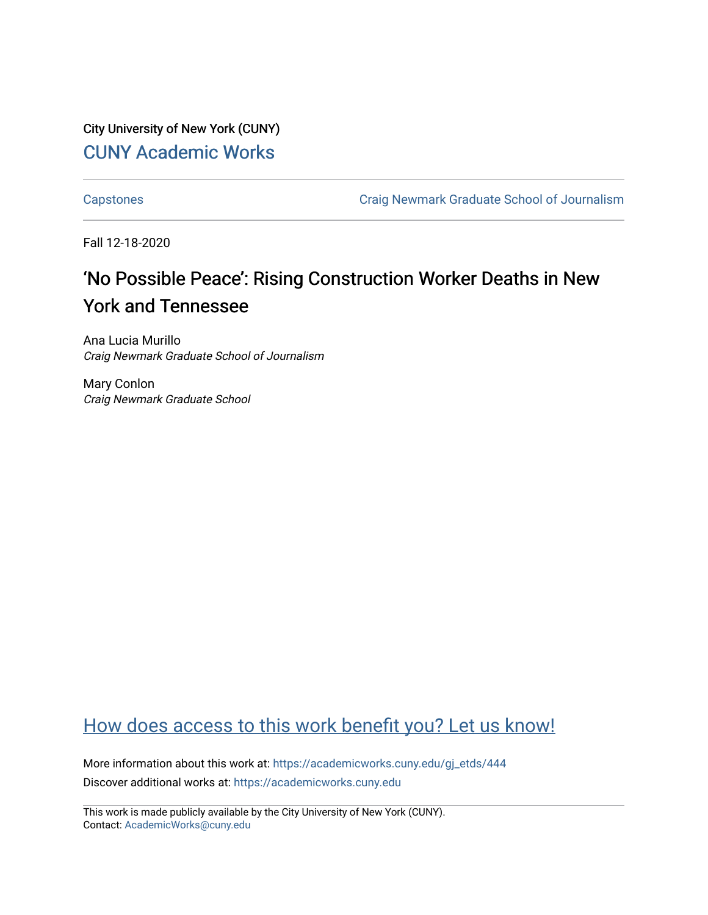City University of New York (CUNY) [CUNY Academic Works](https://academicworks.cuny.edu/) 

[Capstones](https://academicworks.cuny.edu/gj_etds) [Craig Newmark Graduate School of Journalism](https://academicworks.cuny.edu/gj) 

Fall 12-18-2020

# 'No Possible Peace': Rising Construction Worker Deaths in New York and Tennessee

Ana Lucia Murillo Craig Newmark Graduate School of Journalism

Mary Conlon Craig Newmark Graduate School

### [How does access to this work benefit you? Let us know!](http://ols.cuny.edu/academicworks/?ref=https://academicworks.cuny.edu/gj_etds/444)

More information about this work at: [https://academicworks.cuny.edu/gj\\_etds/444](https://academicworks.cuny.edu/gj_etds/444)  Discover additional works at: [https://academicworks.cuny.edu](https://academicworks.cuny.edu/?)

This work is made publicly available by the City University of New York (CUNY). Contact: [AcademicWorks@cuny.edu](mailto:AcademicWorks@cuny.edu)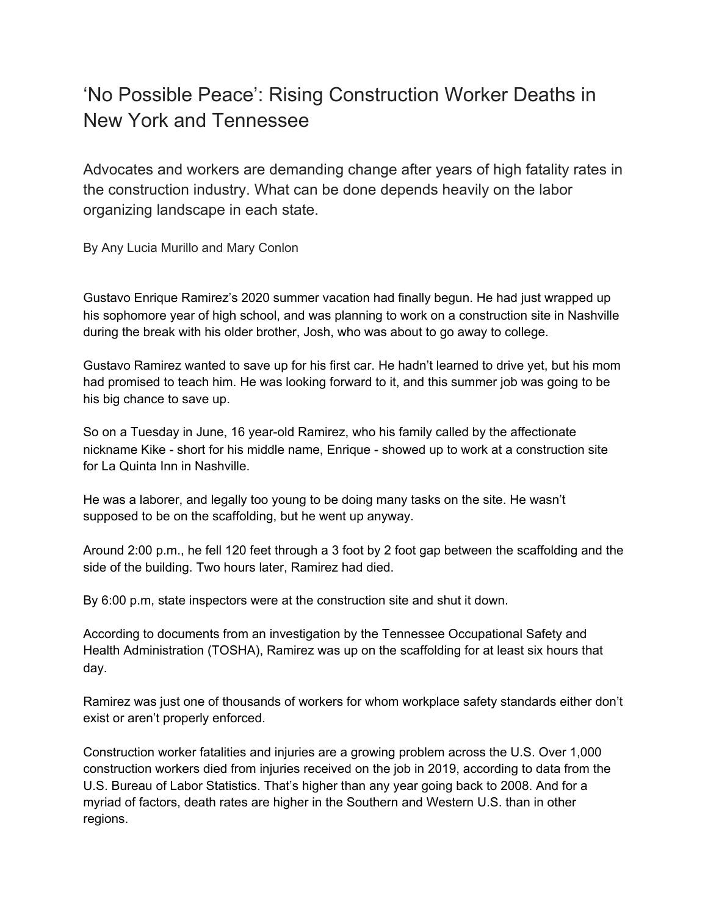## 'No Possible Peace': Rising Construction Worker Deaths in New York and Tennessee

Advocates and workers are demanding change after years of high fatality rates in the construction industry. What can be done depends heavily on the labor organizing landscape in each state.

By Any Lucia Murillo and Mary Conlon

Gustavo Enrique Ramirez's 2020 summer vacation had finally begun. He had just wrapped up his sophomore year of high school, and was planning to work on a construction site in Nashville during the break with his older brother, Josh, who was about to go away to college.

Gustavo Ramirez wanted to save up for his first car. He hadn't learned to drive yet, but his mom had promised to teach him. He was looking forward to it, and this summer job was going to be his big chance to save up.

So on a Tuesday in June, 16 year-old Ramirez, who his family called by the affectionate nickname Kike - short for his middle name, Enrique - showed up to work at a construction site for La Quinta Inn in Nashville.

He was a laborer, and legally too young to be doing many tasks on the site. He wasn't supposed to be on the scaffolding, but he went up anyway.

Around 2:00 p.m., he fell 120 feet through a 3 foot by 2 foot gap between the scaffolding and the side of the building. Two hours later, Ramirez had died.

By 6:00 p.m, state inspectors were at the construction site and shut it down.

According to documents from an investigation by the Tennessee Occupational Safety and Health Administration (TOSHA), Ramirez was up on the scaffolding for at least six hours that day.

Ramirez was just one of thousands of workers for whom workplace safety standards either don't exist or aren't properly enforced.

Construction worker fatalities and injuries are a growing problem across the U.S. Over 1,000 construction workers died from injuries received on the job in 2019, according to data from the U.S. Bureau of Labor Statistics. That's higher than any year going back to 2008. And for a myriad of factors, death rates are higher in the Southern and Western U.S. than in other regions.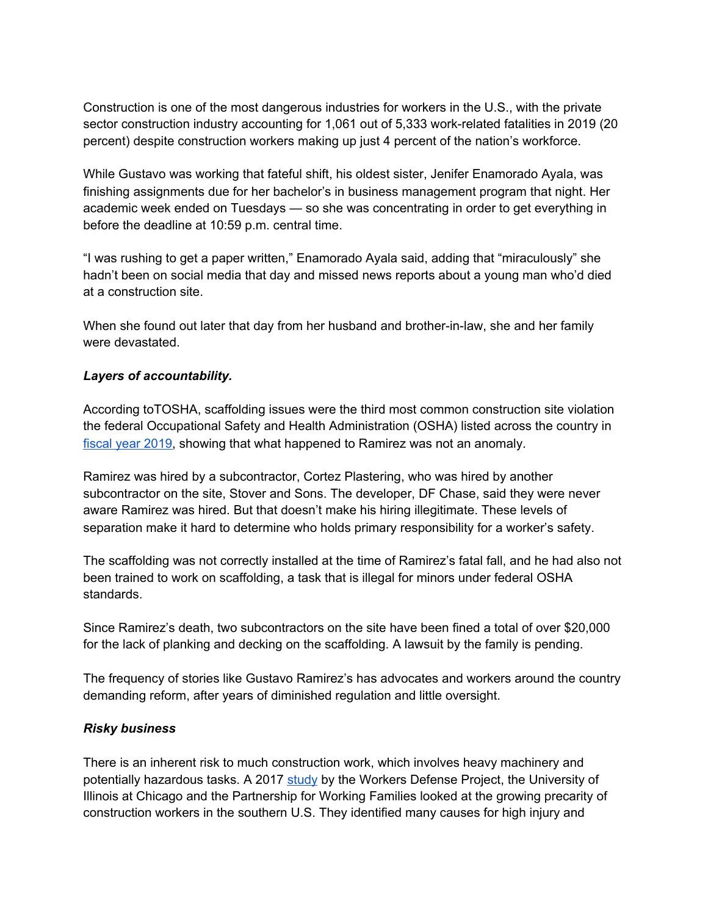Construction is one of the most dangerous industries for workers in the U.S., with the private sector construction industry accounting for 1,061 out of 5,333 work-related fatalities in 2019 (20 percent) despite construction workers making up just 4 percent of the nation's workforce.

While Gustavo was working that fateful shift, his oldest sister, Jenifer Enamorado Ayala, was finishing assignments due for her bachelor's in business management program that night. Her academic week ended on Tuesdays — so she was concentrating in order to get everything in before the deadline at 10:59 p.m. central time.

"I was rushing to get a paper written," Enamorado Ayala said, adding that "miraculously" she hadn't been on social media that day and missed news reports about a young man who'd died at a construction site.

When she found out later that day from her husband and brother-in-law, she and her family were devastated.

### *Layers of accountability.*

According toTOSHA, scaffolding issues were the third most common construction site violation the federal Occupational Safety and Health Administration (OSHA) listed across the country in [fiscal](https://www.osha.gov/data/commonstats) year 2019, showing that what happened to Ramirez was not an anomaly.

Ramirez was hired by a subcontractor, Cortez Plastering, who was hired by another subcontractor on the site, Stover and Sons. The developer, DF Chase, said they were never aware Ramirez was hired. But that doesn't make his hiring illegitimate. These levels of separation make it hard to determine who holds primary responsibility for a worker's safety.

The scaffolding was not correctly installed at the time of Ramirez's fatal fall, and he had also not been trained to work on scaffolding, a task that is illegal for minors under federal OSHA standards.

Since Ramirez's death, two subcontractors on the site have been fined a total of over \$20,000 for the lack of planking and decking on the scaffolding. A lawsuit by the family is pending.

The frequency of stories like Gustavo Ramirez's has advocates and workers around the country demanding reform, after years of diminished regulation and little oversight.

#### *Risky business*

There is an inherent risk to much construction work, which involves heavy machinery and potentially hazardous tasks. A 2017 [study](https://www.workersdefense.org/wp-content/uploads/2017/05/Build-a-Better-South-Full-Report-Digital.pdf) by the Workers Defense Project, the University of Illinois at Chicago and the Partnership for Working Families looked at the growing precarity of construction workers in the southern U.S. They identified many causes for high injury and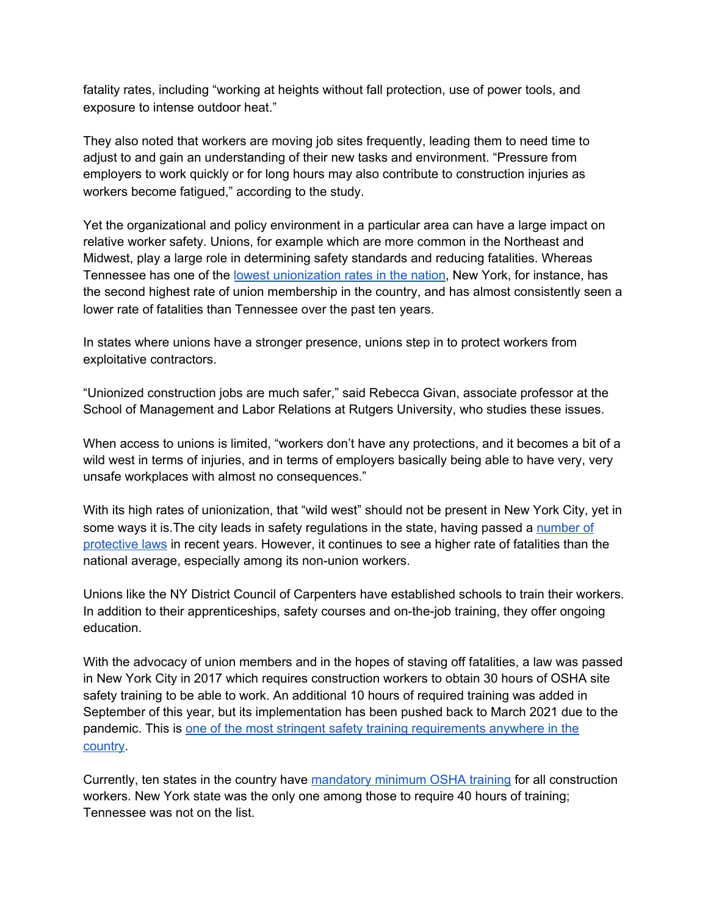fatality rates, including "working at heights without fall protection, use of power tools, and exposure to intense outdoor heat."

They also noted that workers are moving job sites frequently, leading them to need time to adjust to and gain an understanding of their new tasks and environment. "Pressure from employers to work quickly or for long hours may also contribute to construction injuries as workers become fatigued," according to the study.

Yet the organizational and policy environment in a particular area can have a large impact on relative worker safety. Unions, for example which are more common in the Northeast and Midwest, play a large role in determining safety standards and reducing fatalities. Whereas Tennessee has one of the lowest [unionization](https://www.bls.gov/news.release/union2.t05.htm) rates in the nation, New York, for instance, has the second highest rate of union membership in the country, and has almost consistently seen a lower rate of fatalities than Tennessee over the past ten years.

In states where unions have a stronger presence, unions step in to protect workers from exploitative contractors.

"Unionized construction jobs are much safer," said Rebecca Givan, associate professor at the School of Management and Labor Relations at Rutgers University, who studies these issues.

When access to unions is limited, "workers don't have any protections, and it becomes a bit of a wild west in terms of injuries, and in terms of employers basically being able to have very, very unsafe workplaces with almost no consequences."

With its high rates of unionization, that "wild west" should not be present in New York City, yet in some ways it is. The city leads in safety regulations in the state, having passed a [number](https://www1.nyc.gov/office-of-the-mayor/news/298-17/mayor-de-blasio-signs-legislation-better-promote-transparency-equity-safety-all-new#/0) of [protective](https://www1.nyc.gov/office-of-the-mayor/news/298-17/mayor-de-blasio-signs-legislation-better-promote-transparency-equity-safety-all-new#/0) laws in recent years. However, it continues to see a higher rate of fatalities than the national average, especially among its non-union workers.

Unions like the NY District Council of Carpenters have established schools to train their workers. In addition to their apprenticeships, safety courses and on-the-job training, they offer ongoing education.

With the advocacy of union members and in the hopes of staving off fatalities, a law was passed in New York City in 2017 which requires construction workers to obtain 30 hours of OSHA site safety training to be able to work. An additional 10 hours of required training was added in September of this year, but its implementation has been pushed back to March 2021 due to the pandemic. This is one of the most stringent safety training [requirements](http://osha10hrtraining.com/osha_training_required_state_map.html) anywhere in the [country](http://osha10hrtraining.com/osha_training_required_state_map.html).

Currently, ten states in the country have [mandatory](http://osha10hrtraining.com/osha_training_state_map.html) minimum OSHA training for all construction workers. New York state was the only one among those to require 40 hours of training; Tennessee was not on the list.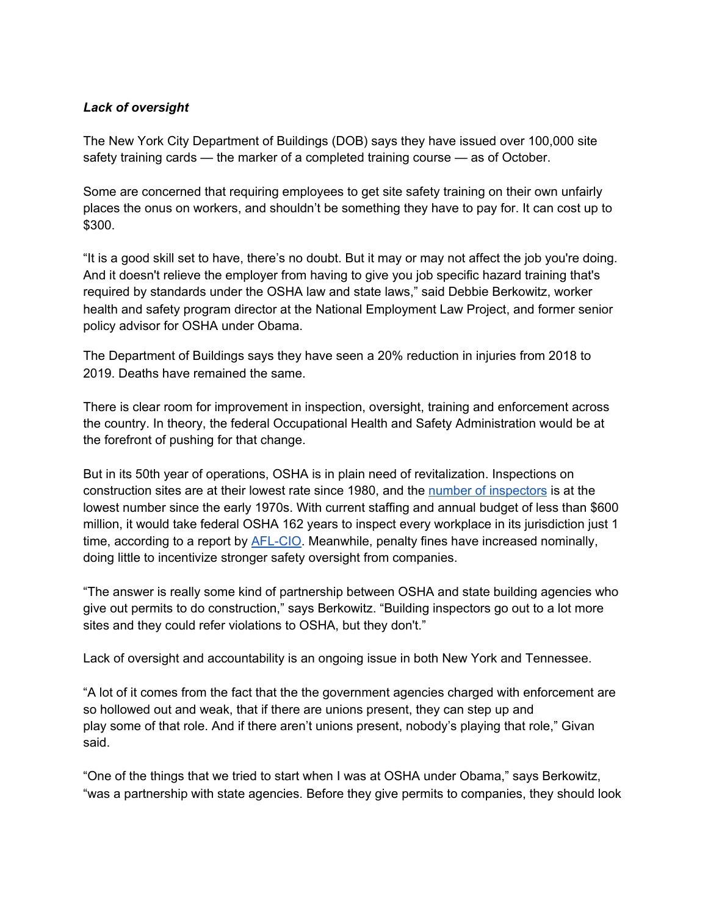#### *Lack of oversight*

The New York City Department of Buildings (DOB) says they have issued over 100,000 site safety training cards — the marker of a completed training course — as of October.

Some are concerned that requiring employees to get site safety training on their own unfairly places the onus on workers, and shouldn't be something they have to pay for. It can cost up to \$300.

"It is a good skill set to have, there's no doubt. But it may or may not affect the job you're doing. And it doesn't relieve the employer from having to give you job specific hazard training that's required by standards under the OSHA law and state laws," said Debbie Berkowitz, worker health and safety program director at the National Employment Law Project, and former senior policy advisor for OSHA under Obama.

The Department of Buildings says they have seen a 20% reduction in injuries from 2018 to 2019. Deaths have remained the same.

There is clear room for improvement in inspection, oversight, training and enforcement across the country. In theory, the federal Occupational Health and Safety Administration would be at the forefront of pushing for that change.

But in its 50th year of operations, OSHA is in plain need of revitalization. Inspections on construction sites are at their lowest rate since 1980, and the number of [inspectors](https://www.osha.gov/dep/enforcement/dep_offices.html) is at the lowest number since the early 1970s. With current staffing and annual budget of less than \$600 million, it would take federal OSHA 162 years to inspect every workplace in its jurisdiction just 1 time, according to a report by [AFL-CIO.](https://aflcio.org/reports/death-job-toll-neglect-2020) Meanwhile, penalty fines have increased nominally, doing little to incentivize stronger safety oversight from companies.

"The answer is really some kind of partnership between OSHA and state building agencies who give out permits to do construction," says Berkowitz. "Building inspectors go out to a lot more sites and they could refer violations to OSHA, but they don't."

Lack of oversight and accountability is an ongoing issue in both New York and Tennessee.

"A lot of it comes from the fact that the the government agencies charged with enforcement are so hollowed out and weak, that if there are unions present, they can step up and play some of that role. And if there aren't unions present, nobody's playing that role," Givan said.

"One of the things that we tried to start when I was at OSHA under Obama," says Berkowitz, "was a partnership with state agencies. Before they give permits to companies, they should look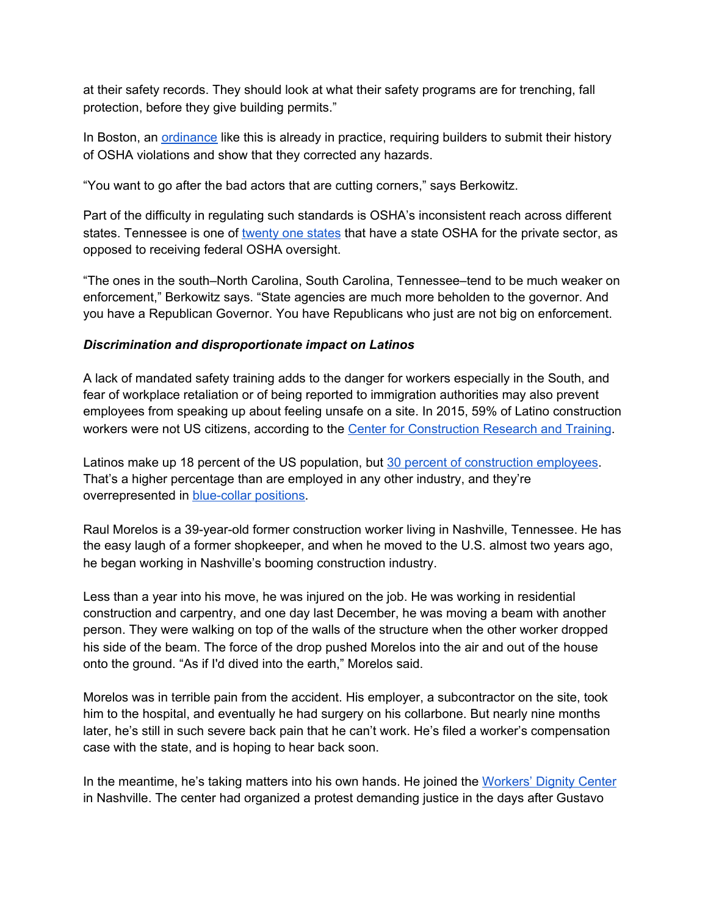at their safety records. They should look at what their safety programs are for trenching, fall protection, before they give building permits."

In Boston, an **[ordinance](https://www.bostonglobe.com/metro/2018/07/25/noting-deaths-house-bill-require-contractors-disclose-workplace-safety-violations/sJ49U6SfKOXUHDOk3EFCrI/story.html) like this is already in practice**, requiring builders to submit their history of OSHA violations and show that they corrected any hazards.

"You want to go after the bad actors that are cutting corners," says Berkowitz.

Part of the difficulty in regulating such standards is OSHA's inconsistent reach across different states. Tennessee is one of [twenty](https://www.osha.gov/stateplans) one states that have a state OSHA for the private sector, as opposed to receiving federal OSHA oversight.

"The ones in the south–North Carolina, South Carolina, Tennessee–tend to be much weaker on enforcement," Berkowitz says. "State agencies are much more beholden to the governor. And you have a Republican Governor. You have Republicans who just are not big on enforcement.

#### *Discrimination and disproportionate impact on Latinos*

A lack of mandated safety training adds to the danger for workers especially in the South, and fear of workplace retaliation or of being reported to immigration authorities may also prevent employees from speaking up about feeling unsafe on a site. In 2015, 59% of Latino construction workers were not US citizens, according to the Center for [Construction](https://www.cpwr.com/research/data-center/the-construction-chart-book/chart-book-6th-edition-labor-force-characteristics-hispanic-workers-in-construction-and-other-industries/#:~:text=In%202015%2C%2034.3%25%20of%20production,West%20regions%20(see%20Glossary)%20.) Research and Training.

Latinos make up 18 percent of the US population, but 30 percent of [construction](https://www.bls.gov/cps/cpsaat18.htm) employees. That's a higher percentage than are employed in any other industry, and they're overrepresented in [blue-collar](https://www.cpwr.com/research/data-center/the-construction-chart-book/chart-book-6th-edition-labor-force-characteristics-hispanic-workers-in-construction-and-other-industries/#:~:text=In%202015%2C%2034.3%25%20of%20production,West%20regions%20(see%20Glossary)%20.) positions.

Raul Morelos is a 39-year-old former construction worker living in Nashville, Tennessee. He has the easy laugh of a former shopkeeper, and when he moved to the U.S. almost two years ago, he began working in Nashville's booming construction industry.

Less than a year into his move, he was injured on the job. He was working in residential construction and carpentry, and one day last December, he was moving a beam with another person. They were walking on top of the walls of the structure when the other worker dropped his side of the beam. The force of the drop pushed Morelos into the air and out of the house onto the ground. "As if I'd dived into the earth," Morelos said.

Morelos was in terrible pain from the accident. His employer, a subcontractor on the site, took him to the hospital, and eventually he had surgery on his collarbone. But nearly nine months later, he's still in such severe back pain that he can't work. He's filed a worker's compensation case with the state, and is hoping to hear back soon.

In the meantime, he's taking matters into his own hands. He joined the [Workers'](https://www.workersdignity.org/about-us/) Dignity Center in Nashville. The center had organized a protest demanding justice in the days after Gustavo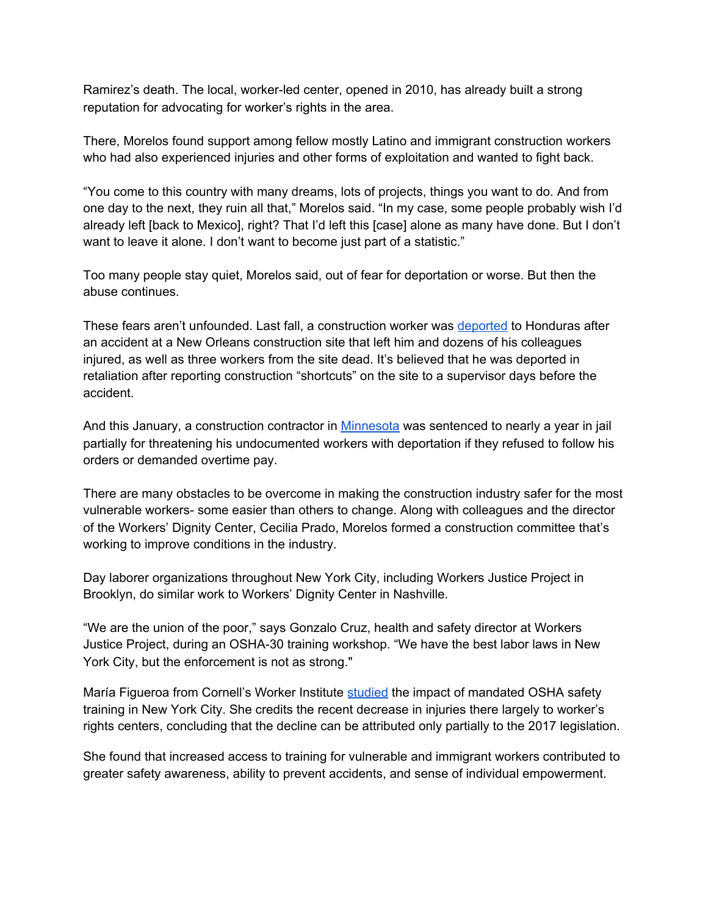Ramirez's death. The local, worker-led center, opened in 2010, has already built a strong reputation for advocating for worker's rights in the area.

There, Morelos found support among fellow mostly Latino and immigrant construction workers who had also experienced injuries and other forms of exploitation and wanted to fight back.

"You come to this country with many dreams, lots of projects, things you want to do. And from one day to the next, they ruin all that," Morelos said. "In my case, some people probably wish I'd already left [back to Mexico], right? That I'd left this [case] alone as many have done. But I don't want to leave it alone. I don't want to become just part of a statistic."

Too many people stay quiet, Morelos said, out of fear for deportation or worse. But then the abuse continues.

These fears aren't unfounded. Last fall, a construction worker was [deported](https://www.usnews.com/news/us/articles/2019-11-29/worker-who-survived-new-orleans-hotel-collapse-deported) to Honduras after an accident at a New Orleans construction site that left him and dozens of his colleagues injured, as well as three workers from the site dead. It's believed that he was deported in retaliation after reporting construction "shortcuts" on the site to a supervisor days before the accident.

And this January, a construction contractor in [Minnesota](https://www.fox9.com/news/contractor-sentenced-for-hiring-undocumented-workers-threatening-them-with-deportation-for-going-to-doctor) was sentenced to nearly a year in jail partially for threatening his undocumented workers with deportation if they refused to follow his orders or demanded overtime pay.

There are many obstacles to be overcome in making the construction industry safer for the most vulnerable workers- some easier than others to change. Along with colleagues and the director of the Workers' Dignity Center, Cecilia Prado, Morelos formed a construction committee that's working to improve conditions in the industry.

Day laborer organizations throughout New York City, including Workers Justice Project in Brooklyn, do similar work to Workers' Dignity Center in Nashville.

"We are the union of the poor," says Gonzalo Cruz, health and safety director at Workers Justice Project, during an OSHA-30 training workshop. "We have the best labor laws in New York City, but the enforcement is not as strong."

María Figueroa from Cornell's Worker Institute [studied](https://www.cpwr.com/wp-content/uploads/SS2020-NYC-policy-change-impact.pdf) the impact of mandated OSHA safety training in New York City. She credits the recent decrease in injuries there largely to worker's rights centers, concluding that the decline can be attributed only partially to the 2017 legislation.

She found that increased access to training for vulnerable and immigrant workers contributed to greater safety awareness, ability to prevent accidents, and sense of individual empowerment.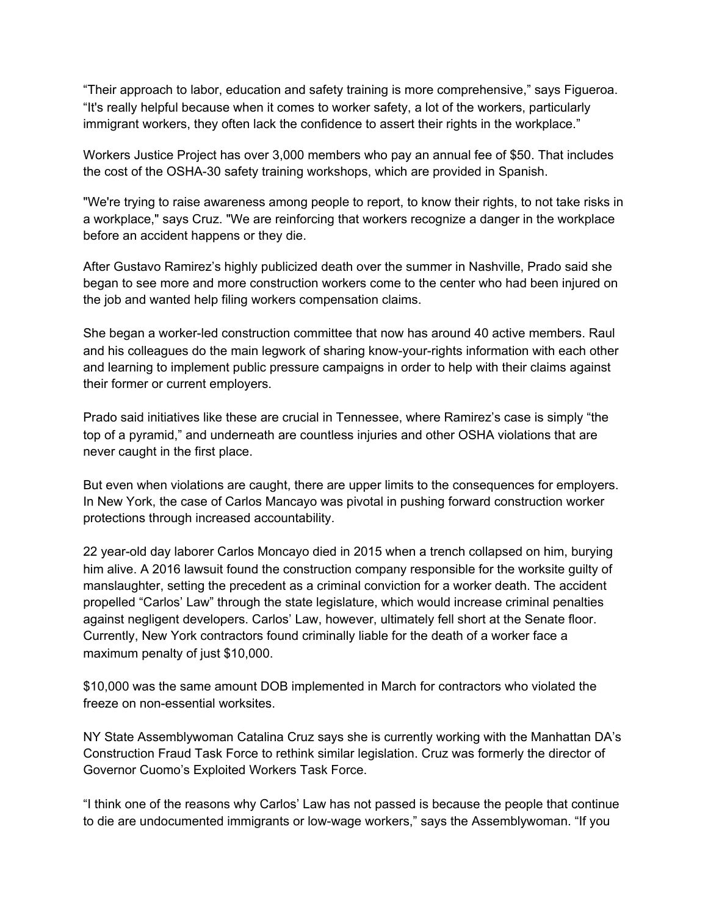"Their approach to labor, education and safety training is more comprehensive," says Figueroa. "It's really helpful because when it comes to worker safety, a lot of the workers, particularly immigrant workers, they often lack the confidence to assert their rights in the workplace."

Workers Justice Project has over 3,000 members who pay an annual fee of \$50. That includes the cost of the OSHA-30 safety training workshops, which are provided in Spanish.

"We're trying to raise awareness among people to report, to know their rights, to not take risks in a workplace," says Cruz. "We are reinforcing that workers recognize a danger in the workplace before an accident happens or they die.

After Gustavo Ramirez's highly publicized death over the summer in Nashville, Prado said she began to see more and more construction workers come to the center who had been injured on the job and wanted help filing workers compensation claims.

She began a worker-led construction committee that now has around 40 active members. Raul and his colleagues do the main legwork of sharing know-your-rights information with each other and learning to implement public pressure campaigns in order to help with their claims against their former or current employers.

Prado said initiatives like these are crucial in Tennessee, where Ramirez's case is simply "the top of a pyramid," and underneath are countless injuries and other OSHA violations that are never caught in the first place.

But even when violations are caught, there are upper limits to the consequences for employers. In New York, the case of Carlos Mancayo was pivotal in pushing forward construction worker protections through increased accountability.

22 year-old day laborer Carlos Moncayo died in 2015 when a trench collapsed on him, burying him alive. A 2016 lawsuit found the construction company responsible for the worksite guilty of manslaughter, setting the precedent as a criminal conviction for a worker death. The accident propelled "Carlos' Law" through the state legislature, which would increase criminal penalties against negligent developers. Carlos' Law, however, ultimately fell short at the Senate floor. Currently, New York contractors found criminally liable for the death of a worker face a maximum penalty of just \$10,000.

\$10,000 was the same amount DOB implemented in March for contractors who violated the freeze on non-essential worksites.

NY State Assemblywoman Catalina Cruz says she is currently working with the Manhattan DA's Construction Fraud Task Force to rethink similar legislation. Cruz was formerly the director of Governor Cuomo's Exploited Workers Task Force.

"I think one of the reasons why Carlos' Law has not passed is because the people that continue to die are undocumented immigrants or low-wage workers," says the Assemblywoman. "If you